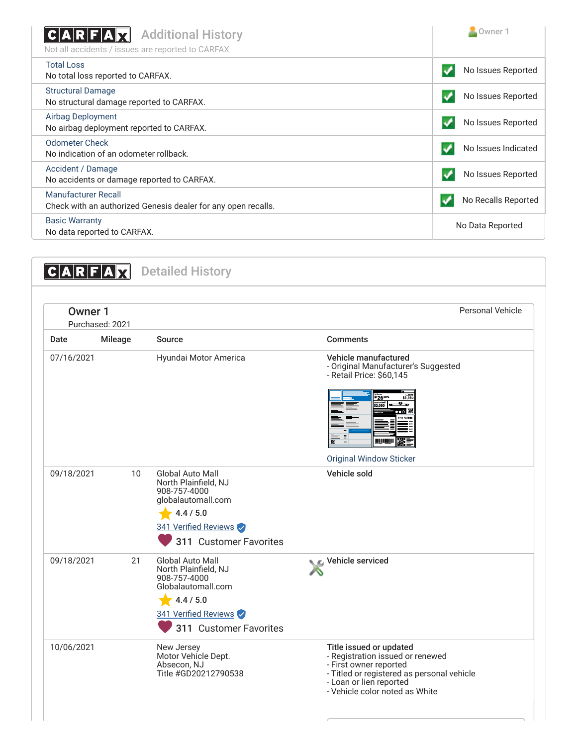| <b>Additional History</b><br>C A R F A<br>Not all accidents / issues are reported to CARFAX | Owner 1             |
|---------------------------------------------------------------------------------------------|---------------------|
| <b>Total Loss</b><br>No total loss reported to CARFAX.                                      | No Issues Reported  |
| <b>Structural Damage</b><br>No structural damage reported to CARFAX.                        | No Issues Reported  |
| Airbag Deployment<br>No airbag deployment reported to CARFAX.                               | No Issues Reported  |
| <b>Odometer Check</b><br>No indication of an odometer rollback.                             | No Issues Indicated |
| Accident / Damage<br>No accidents or damage reported to CARFAX.                             | No Issues Reported  |
| Manufacturer Recall<br>Check with an authorized Genesis dealer for any open recalls.        | No Recalls Reported |
| <b>Basic Warranty</b><br>No data reported to CARFAX.                                        | No Data Reported    |

| Personal Vehicle<br>Owner 1<br>Purchased: 2021 |                |                                                                                                                                                      |                                                                                                                                                                                                                                      |  |
|------------------------------------------------|----------------|------------------------------------------------------------------------------------------------------------------------------------------------------|--------------------------------------------------------------------------------------------------------------------------------------------------------------------------------------------------------------------------------------|--|
| Date                                           | <b>Mileage</b> | Source                                                                                                                                               | <b>Comments</b>                                                                                                                                                                                                                      |  |
| 07/16/2021                                     |                | Hyundai Motor America                                                                                                                                | Vehicle manufactured<br>- Original Manufacturer's Suggested<br>- Retail Price: \$60,145<br>\$1,350<br>$n_{26}$ м $n_{26}$<br>$ \overline{2}$ $\overline{2}$<br><b>52.050</b><br><b>INITIATIVIT</b><br><b>Original Window Sticker</b> |  |
| 09/18/2021                                     | 10             | <b>Global Auto Mall</b><br>North Plainfield, NJ<br>908-757-4000<br>globalautomall.com<br>4.4 / 5.0<br>341 Verified Reviews<br>311 Customer Favorites | Vehicle sold                                                                                                                                                                                                                         |  |
| 09/18/2021                                     | 21             | <b>Global Auto Mall</b><br>North Plainfield, NJ<br>908-757-4000<br>Globalautomall.com<br>4.4 / 5.0<br>341 Verified Reviews<br>311 Customer Favorites | Vehicle serviced                                                                                                                                                                                                                     |  |
| 10/06/2021                                     |                | New Jersey<br>Motor Vehicle Dept.<br>Absecon, NJ<br>Title #GD20212790538                                                                             | Title issued or updated<br>- Registration issued or renewed<br>- First owner reported<br>- Titled or registered as personal vehicle<br>- Loan or lien reported<br>- Vehicle color noted as White                                     |  |